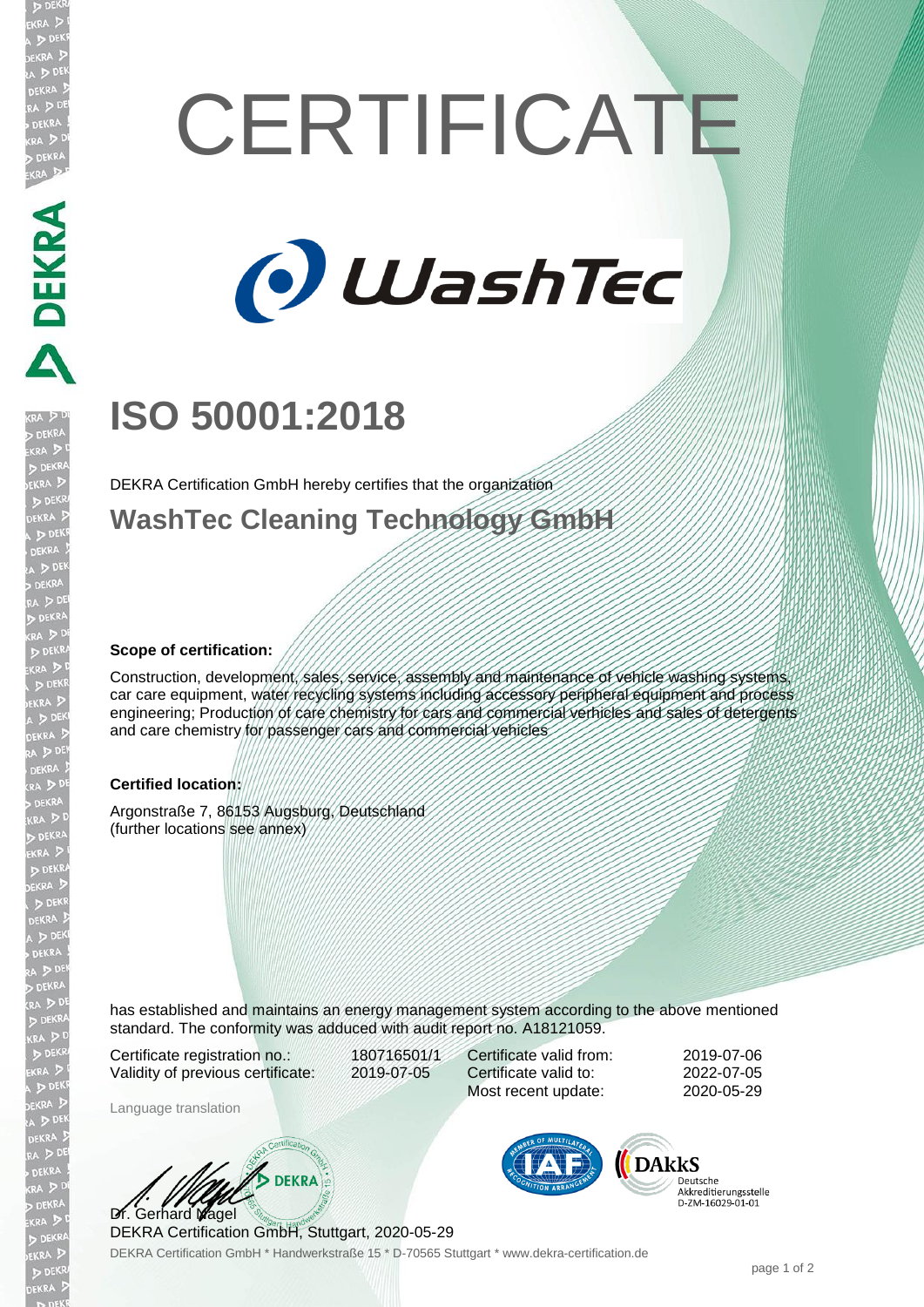# **DEKRA PER**

**JEKR** 

# **CERTIFICATE**



# **ISO 50001:2018**

DEKRA Certification GmbH hereby certifies that the organization

**WashTec Cleaning Technology GmbH**

### **Scope of certification:**

Construction, development, sales, service, assembly and maintenance of vehicle washing systems, car care equipment, water recycling systems including accessory peripheral equipment and process engineering; Production of care chemistry for cars and commercial verhicles and sales of detergents and care chemistry for passenger cars and commercial vehicles

### **Certified location:**

Argonstraße 7, 86153 Augsburg, Deutschland (further locations see annex)

has established and maintains an energy management system according to the above mentioned standard. The conformity was adduced with audit report no. A18121059.

Certificate registration no.: 180716501/1 Validity of previous certificate: 2019-07-05

Certificate valid from: 2019-07-06 Certificate valid to: 2022-07-05 Most recent update: 2020-05-29

Language translation

**BEKRA** Dr. Gerhard Nagel

DEKRA Certification GmbH, Stuttgart, 2020-05-29

DEKRA Certification GmbH \* Handwerkstraße 15 \* D-70565 Stuttgart \* www.dekra-certification.de



Deutsche Akkreditierungsstelle<br>D-ZM-16029-01-01